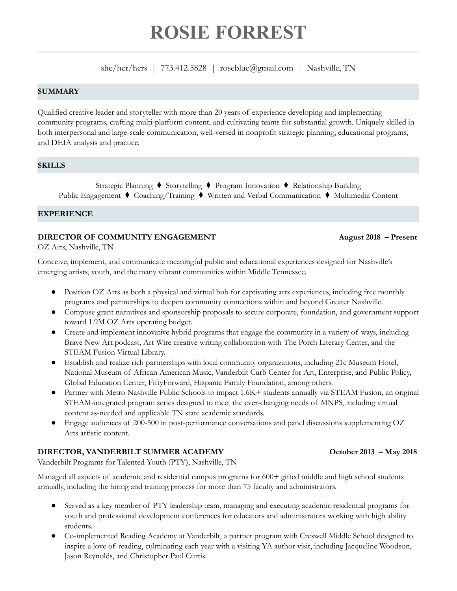# **ROSIE FORREST**

she/her/hers | 773.412.5828 | roseblue@gmail.com | Nashville, TN

#### **SUMMARY**

Qualified creative leader and storyteller with more than 20 years of experience developing and implementing community programs, crafting multi-platform content, and cultivating teams for substantial growth. Uniquely skilled in both interpersonal and large-scale communication, well-versed in nonprofit strategic planning, educational programs, and DEIA analysis and practice.

#### **SKILLS**

Strategic Planning ⧫ Storytelling ⧫ Program Innovation ⧫ Relationship Building Public Engagement ⧫ Coaching/Training ⧫ Written and Verbal Communication ⧫ Multimedia Content

#### **EXPERIENCE**

#### **DIRECTOR OF COMMUNITY ENGAGEMENT August 2018 – Present**

OZ Arts, Nashville, TN

Conceive, implement, and communicate meaningful public and educational experiences designed for Nashville's emerging artists, youth, and the many vibrant communities within Middle Tennessee.

- Position OZ Arts as both a physical and virtual hub for captivating arts experiences, including free monthly programs and partnerships to deepen community connections within and beyond Greater Nashville.
- Compose grant narratives and sponsorship proposals to secure corporate, foundation, and government support toward 1.9M OZ Arts operating budget.
- Create and implement innovative hybrid programs that engage the community in a variety of ways, including Brave New Art podcast, Art Wire creative writing collaboration with The Porch Literary Center, and the STEAM Fusion Virtual Library.
- Establish and realize rich partnerships with local community organizations, including 21c Museum Hotel, National Museum of African American Music, Vanderbilt Curb Center for Art, Enterprise, and Public Policy, Global Education Center, FiftyForward, Hispanic Family Foundation, among others.
- Partner with Metro Nashville Public Schools to impact 1.6K+ students annually via STEAM Fusion, an original STEAM-integrated program series designed to meet the ever-changing needs of MNPS, including virtual content as-needed and applicable TN state academic standards.
- Engage audiences of 200-500 in post-performance conversations and panel discussions supplementing OZ Arts artistic content.

#### **DIRECTOR, VANDERBILT SUMMER ACADEMY October 2013 – May 2018**

Vanderbilt Programs for Talented Youth (PTY), Nashville, TN

Managed all aspects of academic and residential campus programs for 600+ gifted middle and high school students annually, including the hiring and training process for more than 75 faculty and administrators.

- Served as a key member of PTY leadership team, managing and executing academic residential programs for youth and professional development conferences for educators and administrators working with high ability students.
- Co-implemented Reading Academy at Vanderbilt, a partner program with Creswell Middle School designed to inspire a love of reading, culminating each year with a visiting YA author visit, including Jacqueline Woodson, Jason Reynolds, and Christopher Paul Curtis.